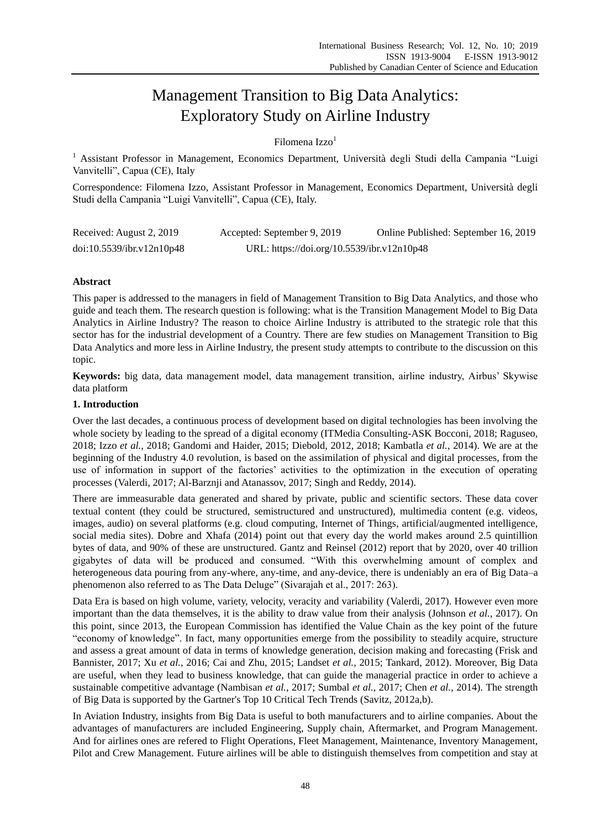# Management Transition to Big Data Analytics: Exploratory Study on Airline Industry

Filomena Izzo<sup>1</sup>

<sup>1</sup> Assistant Professor in Management, Economics Department, Università degli Studi della Campania "Luigi Vanvitelli", Capua (CE), Italy

Correspondence: Filomena Izzo, Assistant Professor in Management, Economics Department, Università degli Studi della Campania "Luigi Vanvitelli", Capua (CE), Italy.

| Received: August 2, 2019  | Accepted: September 9, 2019                | Online Published: September 16, 2019 |
|---------------------------|--------------------------------------------|--------------------------------------|
| doi:10.5539/ibr.v12n10p48 | URL: https://doi.org/10.5539/ibr.v12n10p48 |                                      |

# **Abstract**

This paper is addressed to the managers in field of Management Transition to Big Data Analytics, and those who guide and teach them. The research question is following: what is the Transition Management Model to Big Data Analytics in Airline Industry? The reason to choice Airline Industry is attributed to the strategic role that this sector has for the industrial development of a Country. There are few studies on Management Transition to Big Data Analytics and more less in Airline Industry, the present study attempts to contribute to the discussion on this topic.

**Keywords:** big data, data management model, data management transition, airline industry, Airbus' Skywise data platform

# **1. Introduction**

Over the last decades, a continuous process of development based on digital technologies has been involving the whole society by leading to the spread of a digital economy (ITMedia Consulting-ASK Bocconi, 2018; Raguseo, 2018; Izzo *et al.*, 2018; Gandomi and Haider, 2015; Diebold, 2012, 2018; Kambatla *et al.*, 2014). We are at the beginning of the Industry 4.0 revolution, is based on the assimilation of physical and digital processes, from the use of information in support of the factories' activities to the optimization in the execution of operating processes (Valerdi, 2017; Al-Barznji and Atanassov, 2017; Singh and Reddy, 2014).

There are immeasurable data generated and shared by private, public and scientific sectors. These data cover textual content (they could be structured, semistructured and unstructured), multimedia content (e.g. videos, images, audio) on several platforms (e.g. cloud computing, Internet of Things, artificial/augmented intelligence, social media sites). Dobre and Xhafa (2014) point out that every day the world makes around 2.5 quintillion bytes of data, and 90% of these are unstructured. Gantz and Reinsel (2012) report that by 2020, over 40 trillion gigabytes of data will be produced and consumed. "With this overwhelming amount of complex and heterogeneous data pouring from any-where, any-time, and any-device, there is undeniably an era of Big Data–a phenomenon also referred to as The Data Deluge" (Sivarajah et al., 2017: 263).

Data Era is based on high volume, variety, velocity, veracity and variability (Valerdi, 2017). However even more important than the data themselves, it is the ability to draw value from their analysis (Johnson *et al.*, 2017). On this point, since 2013, the European Commission has identified the Value Chain as the key point of the future "economy of knowledge". In fact, many opportunities emerge from the possibility to steadily acquire, structure and assess a great amount of data in terms of knowledge generation, decision making and forecasting (Frisk and Bannister, 2017; Xu *et al.*, 2016; Cai and Zhu, 2015; Landset *et al.*, 2015; Tankard, 2012). Moreover, Big Data are useful, when they lead to business knowledge, that can guide the managerial practice in order to achieve a sustainable competitive advantage (Nambisan *et al.*, 2017; Sumbal *et al.*, 2017; Chen *et al.*, 2014). The strength of Big Data is supported by the Gartner's Top 10 Critical Tech Trends (Savitz, 2012a,b).

In Aviation Industry, insights from Big Data is useful to both manufacturers and to airline companies. About the advantages of manufacturers are included Engineering, Supply chain, Aftermarket, and Program Management. And for airlines ones are refered to Flight Operations, Fleet Management, Maintenance, Inventory Management, Pilot and Crew Management. Future airlines will be able to distinguish themselves from competition and stay at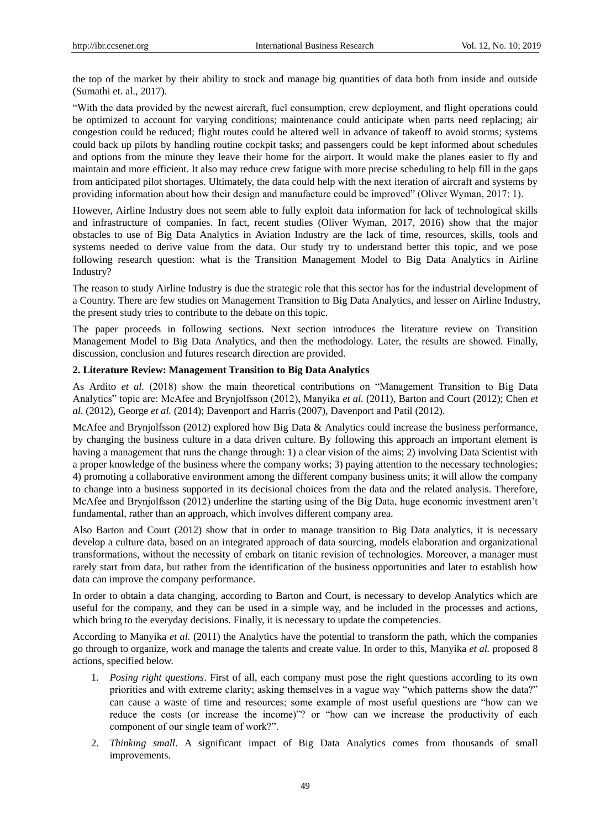the top of the market by their ability to stock and manage big quantities of data both from inside and outside (Sumathi et. al., 2017).

"With the data provided by the newest aircraft, fuel consumption, crew deployment, and flight operations could be optimized to account for varying conditions; maintenance could anticipate when parts need replacing; air congestion could be reduced; flight routes could be altered well in advance of takeoff to avoid storms; systems could back up pilots by handling routine cockpit tasks; and passengers could be kept informed about schedules and options from the minute they leave their home for the airport. It would make the planes easier to fly and maintain and more efficient. It also may reduce crew fatigue with more precise scheduling to help fill in the gaps from anticipated pilot shortages. Ultimately, the data could help with the next iteration of aircraft and systems by providing information about how their design and manufacture could be improved" (Oliver Wyman, 2017: 1).

However, Airline Industry does not seem able to fully exploit data information for lack of technological skills and infrastructure of companies. In fact, recent studies (Oliver Wyman, 2017, 2016) show that the major obstacles to use of Big Data Analytics in Aviation Industry are the lack of time, resources, skills, tools and systems needed to derive value from the data. Our study try to understand better this topic, and we pose following research question: what is the Transition Management Model to Big Data Analytics in Airline Industry?

The reason to study Airline Industry is due the strategic role that this sector has for the industrial development of a Country. There are few studies on Management Transition to Big Data Analytics, and lesser on Airline Industry, the present study tries to contribute to the debate on this topic.

The paper proceeds in following sections. Next section introduces the literature review on Transition Management Model to Big Data Analytics, and then the methodology. Later, the results are showed. Finally, discussion, conclusion and futures research direction are provided.

### **2. Literature Review: Management Transition to Big Data Analytics**

As Ardito *et al.* (2018) show the main theoretical contributions on "Management Transition to Big Data Analytics" topic are: McAfee and Brynjolfsson (2012), Manyika *et al.* (2011), Barton and Court (2012); Chen *et al.* (2012), George *et al.* (2014); Davenport and Harris (2007), Davenport and Patil (2012).

McAfee and Brynjolfsson (2012) explored how Big Data & Analytics could increase the business performance, by changing the business culture in a data driven culture. By following this approach an important element is having a management that runs the change through: 1) a clear vision of the aims; 2) involving Data Scientist with a proper knowledge of the business where the company works; 3) paying attention to the necessary technologies; 4) promoting a collaborative environment among the different company business units; it will allow the company to change into a business supported in its decisional choices from the data and the related analysis. Therefore, McAfee and Brynjolfsson (2012) underline the starting using of the Big Data, huge economic investment aren't fundamental, rather than an approach, which involves different company area.

Also Barton and Court (2012) show that in order to manage transition to Big Data analytics, it is necessary develop a culture data, based on an integrated approach of data sourcing, models elaboration and organizational transformations, without the necessity of embark on titanic revision of technologies. Moreover, a manager must rarely start from data, but rather from the identification of the business opportunities and later to establish how data can improve the company performance.

In order to obtain a data changing, according to Barton and Court, is necessary to develop Analytics which are useful for the company, and they can be used in a simple way, and be included in the processes and actions, which bring to the everyday decisions. Finally, it is necessary to update the competencies.

According to Manyika *et al.* (2011) the Analytics have the potential to transform the path, which the companies go through to organize, work and manage the talents and create value. In order to this, Manyika *et al.* proposed 8 actions, specified below.

- 1. *Posing right questions*. First of all, each company must pose the right questions according to its own priorities and with extreme clarity; asking themselves in a vague way "which patterns show the data?" can cause a waste of time and resources; some example of most useful questions are "how can we reduce the costs (or increase the income)"? or "how can we increase the productivity of each component of our single team of work?".
- 2. *Thinking small*. A significant impact of Big Data Analytics comes from thousands of small improvements.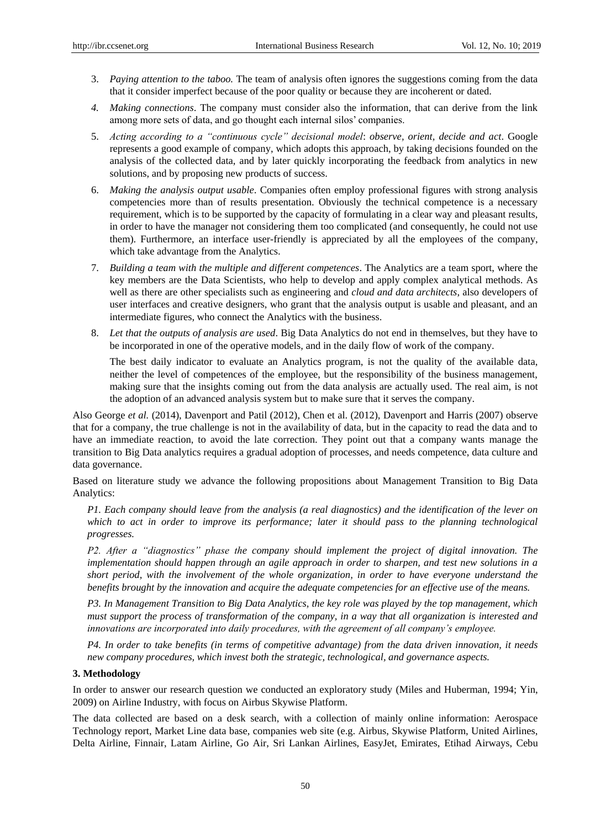- 3. *Paying attention to the taboo.* The team of analysis often ignores the suggestions coming from the data that it consider imperfect because of the poor quality or because they are incoherent or dated.
- *4. Making connections*. The company must consider also the information, that can derive from the link among more sets of data, and go thought each internal silos' companies.
- 5. *Acting according to a "continuous cycle" decisional model*: *observe, orient, decide and act*. Google represents a good example of company, which adopts this approach, by taking decisions founded on the analysis of the collected data, and by later quickly incorporating the feedback from analytics in new solutions, and by proposing new products of success.
- 6. *Making the analysis output usable*. Companies often employ professional figures with strong analysis competencies more than of results presentation. Obviously the technical competence is a necessary requirement, which is to be supported by the capacity of formulating in a clear way and pleasant results, in order to have the manager not considering them too complicated (and consequently, he could not use them). Furthermore, an interface user-friendly is appreciated by all the employees of the company, which take advantage from the Analytics.
- 7. *Building a team with the multiple and different competences*. The Analytics are a team sport, where the key members are the Data Scientists, who help to develop and apply complex analytical methods. As well as there are other specialists such as engineering and *cloud and data architects*, also developers of user interfaces and creative designers, who grant that the analysis output is usable and pleasant, and an intermediate figures, who connect the Analytics with the business.
- 8. *Let that the outputs of analysis are used*. Big Data Analytics do not end in themselves, but they have to be incorporated in one of the operative models, and in the daily flow of work of the company.

The best daily indicator to evaluate an Analytics program, is not the quality of the available data, neither the level of competences of the employee, but the responsibility of the business management, making sure that the insights coming out from the data analysis are actually used. The real aim, is not the adoption of an advanced analysis system but to make sure that it serves the company.

Also George *et al.* (2014), Davenport and Patil (2012), Chen et al. (2012), Davenport and Harris (2007) observe that for a company, the true challenge is not in the availability of data, but in the capacity to read the data and to have an immediate reaction, to avoid the late correction. They point out that a company wants manage the transition to Big Data analytics requires a gradual adoption of processes, and needs competence, data culture and data governance.

Based on literature study we advance the following propositions about Management Transition to Big Data Analytics:

*P1. Each company should leave from the analysis (a real diagnostics) and the identification of the lever on which to act in order to improve its performance; later it should pass to the planning technological progresses.* 

*P2. After a "diagnostics" phase the company should implement the project of digital innovation. The implementation should happen through an agile approach in order to sharpen, and test new solutions in a short period, with the involvement of the whole organization, in order to have everyone understand the benefits brought by the innovation and acquire the adequate competencies for an effective use of the means.*

*P3. In Management Transition to Big Data Analytics, the key role was played by the top management, which must support the process of transformation of the company, in a way that all organization is interested and innovations are incorporated into daily procedures, with the agreement of all company's employee.*

*P4. In order to take benefits (in terms of competitive advantage) from the data driven innovation, it needs new company procedures, which invest both the strategic, technological, and governance aspects.* 

#### **3. Methodology**

In order to answer our research question we conducted an exploratory study (Miles and Huberman, 1994; Yin, 2009) on Airline Industry, with focus on Airbus Skywise Platform.

The data collected are based on a desk search, with a collection of mainly online information: Aerospace Technology report, Market Line data base, companies web site (e.g. Airbus, Skywise Platform, United Airlines, Delta Airline, Finnair, Latam Airline, Go Air, Sri Lankan Airlines, EasyJet, Emirates, Etihad Airways, Cebu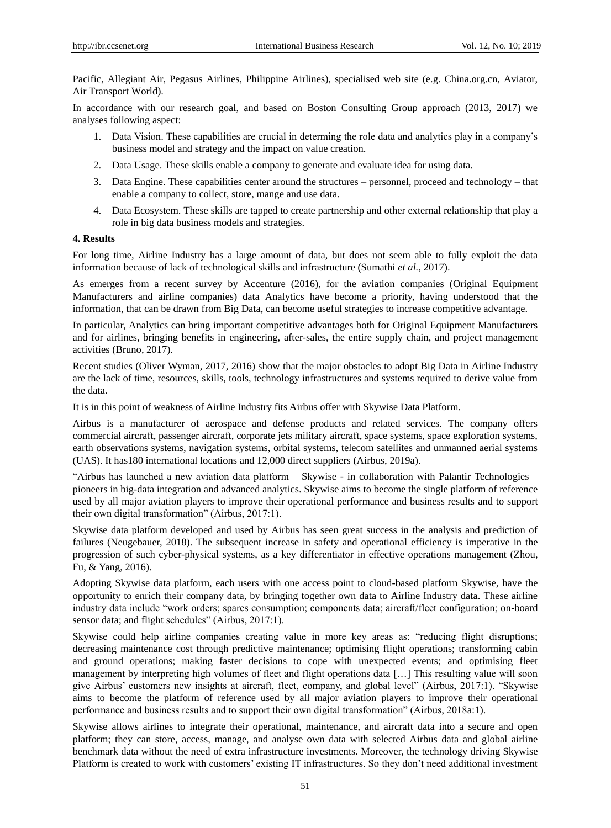Pacific, Allegiant Air, Pegasus Airlines, Philippine Airlines), specialised web site (e.g. China.org.cn, Aviator, Air Transport World).

In accordance with our research goal, and based on Boston Consulting Group approach (2013, 2017) we analyses following aspect:

- 1. Data Vision. These capabilities are crucial in determing the role data and analytics play in a company's business model and strategy and the impact on value creation.
- 2. Data Usage. These skills enable a company to generate and evaluate idea for using data.
- 3. Data Engine. These capabilities center around the structures personnel, proceed and technology that enable a company to collect, store, mange and use data.
- 4. Data Ecosystem. These skills are tapped to create partnership and other external relationship that play a role in big data business models and strategies.

# **4. Results**

For long time, Airline Industry has a large amount of data, but does not seem able to fully exploit the data information because of lack of technological skills and infrastructure (Sumathi *et al.*, 2017).

As emerges from a recent survey by Accenture (2016), for the aviation companies (Original Equipment Manufacturers and airline companies) data Analytics have become a priority, having understood that the information, that can be drawn from Big Data, can become useful strategies to increase competitive advantage.

In particular, Analytics can bring important competitive advantages both for Original Equipment Manufacturers and for airlines, bringing benefits in engineering, after-sales, the entire supply chain, and project management activities (Bruno, 2017).

Recent studies (Oliver Wyman, 2017, 2016) show that the major obstacles to adopt Big Data in Airline Industry are the lack of time, resources, skills, tools, technology infrastructures and systems required to derive value from the data.

It is in this point of weakness of Airline Industry fits Airbus offer with Skywise Data Platform.

Airbus is a manufacturer of aerospace and defense products and related services. The company offers commercial aircraft, passenger aircraft, corporate jets military aircraft, space systems, space exploration systems, earth observations systems, navigation systems, orbital systems, telecom satellites and unmanned aerial systems (UAS). It has180 international locations and 12,000 direct suppliers (Airbus, 2019a).

"Airbus has launched a new aviation data platform – Skywise - in collaboration with Palantir Technologies – pioneers in big-data integration and advanced analytics. Skywise aims to become the single platform of reference used by all major aviation players to improve their operational performance and business results and to support their own digital transformation" (Airbus, 2017:1).

Skywise data platform developed and used by Airbus has seen great success in the analysis and prediction of failures (Neugebauer, 2018). The subsequent increase in safety and operational efficiency is imperative in the progression of such cyber-physical systems, as a key differentiator in effective operations management (Zhou, Fu, & Yang, 2016).

Adopting Skywise data platform, each users with one access point to cloud-based platform Skywise, have the opportunity to enrich their company data, by bringing together own data to Airline Industry data. These airline industry data include "work orders; spares consumption; components data; aircraft/fleet configuration; on-board sensor data; and flight schedules" (Airbus, 2017:1).

Skywise could help airline companies creating value in more key areas as: "reducing flight disruptions; decreasing maintenance cost through predictive maintenance; optimising flight operations; transforming cabin and ground operations; making faster decisions to cope with unexpected events; and optimising fleet management by interpreting high volumes of fleet and flight operations data […] This resulting value will soon give Airbus' customers new insights at aircraft, fleet, company, and global level" (Airbus, 2017:1). "Skywise aims to become the platform of reference used by all major aviation players to improve their operational performance and business results and to support their own digital transformation" (Airbus, 2018a:1).

Skywise allows airlines to integrate their operational, maintenance, and aircraft data into a secure and open platform; they can store, access, manage, and analyse own data with selected Airbus data and global airline benchmark data without the need of extra infrastructure investments. Moreover, the technology driving Skywise Platform is created to work with customers' existing IT infrastructures. So they don't need additional investment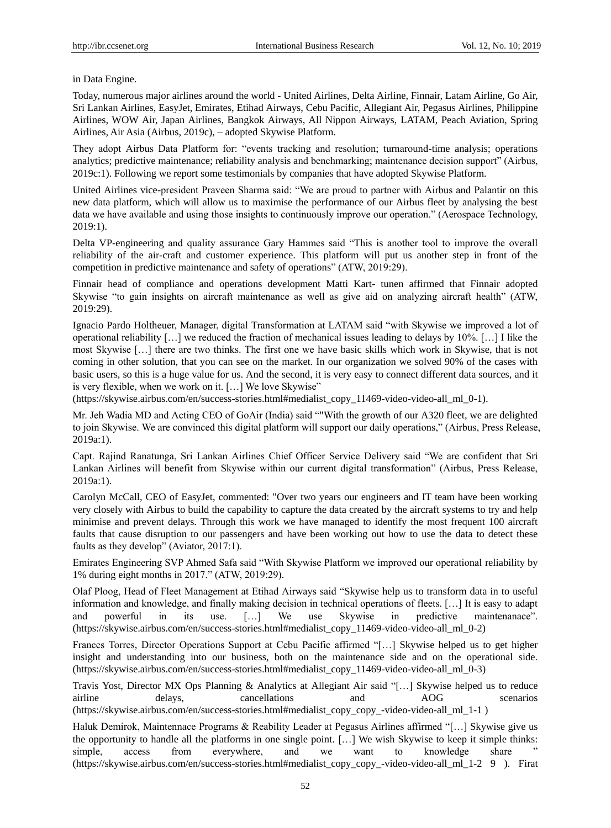#### in Data Engine.

Today, numerous major airlines around the world - United Airlines, Delta Airline, Finnair, Latam Airline, Go Air, Sri Lankan Airlines, EasyJet, Emirates, Etihad Airways, Cebu Pacific, Allegiant Air, Pegasus Airlines, Philippine Airlines, WOW Air, Japan Airlines, Bangkok Airways, All Nippon Airways, LATAM, Peach Aviation, Spring Airlines, Air Asia (Airbus, 2019c), – adopted Skywise Platform.

They adopt Airbus Data Platform for: "events tracking and resolution; turnaround-time analysis; operations analytics; predictive maintenance; reliability analysis and benchmarking; maintenance decision support" (Airbus, 2019c:1). Following we report some testimonials by companies that have adopted Skywise Platform.

United Airlines vice-president Praveen Sharma said: "We are proud to partner with Airbus and Palantir on this new data platform, which will allow us to maximise the performance of our Airbus fleet by analysing the best data we have available and using those insights to continuously improve our operation." (Aerospace Technology, 2019:1).

Delta VP-engineering and quality assurance Gary Hammes said "This is another tool to improve the overall reliability of the air-craft and customer experience. This platform will put us another step in front of the competition in predictive maintenance and safety of operations" (ATW, 2019:29).

Finnair head of compliance and operations development Matti Kart- tunen affirmed that Finnair adopted Skywise "to gain insights on aircraft maintenance as well as give aid on analyzing aircraft health" (ATW, 2019:29).

Ignacio Pardo Holtheuer, Manager, digital Transformation at LATAM said "with Skywise we improved a lot of operational reliability […] we reduced the fraction of mechanical issues leading to delays by 10%. […] I like the most Skywise […] there are two thinks. The first one we have basic skills which work in Skywise, that is not coming in other solution, that you can see on the market. In our organization we solved 90% of the cases with basic users, so this is a huge value for us. And the second, it is very easy to connect different data sources, and it is very flexible, when we work on it. […] We love Skywise"

(https://skywise.airbus.com/en/success-stories.html#medialist\_copy\_11469-video-video-all\_ml\_0-1).

Mr. Jeh Wadia MD and Acting CEO of GoAir (India) said ""With the growth of our A320 fleet, we are delighted to join Skywise. We are convinced this digital platform will support our daily operations," (Airbus, Press Release, 2019a:1).

Capt. Rajind Ranatunga, Sri Lankan Airlines Chief Officer Service Delivery said "We are confident that Sri Lankan Airlines will benefit from Skywise within our current digital transformation" (Airbus, Press Release, 2019a:1).

Carolyn McCall, CEO of EasyJet, commented: "Over two years our engineers and IT team have been working very closely with Airbus to build the capability to capture the data created by the aircraft systems to try and help minimise and prevent delays. Through this work we have managed to identify the most frequent 100 aircraft faults that cause disruption to our passengers and have been working out how to use the data to detect these faults as they develop" (Aviator, 2017:1).

Emirates Engineering SVP Ahmed Safa said "With Skywise Platform we improved our operational reliability by 1% during eight months in 2017." (ATW, 2019:29).

Olaf Ploog, Head of Fleet Management at Etihad Airways said "Skywise help us to transform data in to useful information and knowledge, and finally making decision in technical operations of fleets. […] It is easy to adapt and powerful in its use. […] We use Skywise in predictive maintenanace". (https://skywise.airbus.com/en/success-stories.html#medialist\_copy\_11469-video-video-all\_ml\_0-2)

Frances Torres, Director Operations Support at Cebu Pacific affirmed "[…] Skywise helped us to get higher insight and understanding into our business, both on the maintenance side and on the operational side. (https://skywise.airbus.com/en/success-stories.html#medialist\_copy\_11469-video-video-all\_ml\_0-3)

Travis Yost, Director MX Ops Planning & Analytics at Allegiant Air said "[…] Skywise helped us to reduce airline delays, cancellations and AOG scenarios [\(https://skywise.airbus.com/en/success-stories.html#medialist\\_copy\\_copy\\_-video-video-all\\_ml\\_1-1](https://skywise.airbus.com/en/success-stories.html#medialist_copy_copy_-video-video-all_ml_1-1) )

Haluk Demirok, Maintennace Programs & Reability Leader at Pegasus Airlines affirmed "[…] Skywise give us the opportunity to handle all the platforms in one single point. […] We wish Skywise to keep it simple thinks: simple, access from everywhere, and we want to knowledge share [\(https://skywise.airbus.com/en/success-stories.html#medialist\\_copy\\_copy\\_-video-video-all\\_ml\\_1-2](https://skywise.airbus.com/en/success-stories.html#medialist_copy_copy_-video-video-all_ml_1-2) 9 ). Firat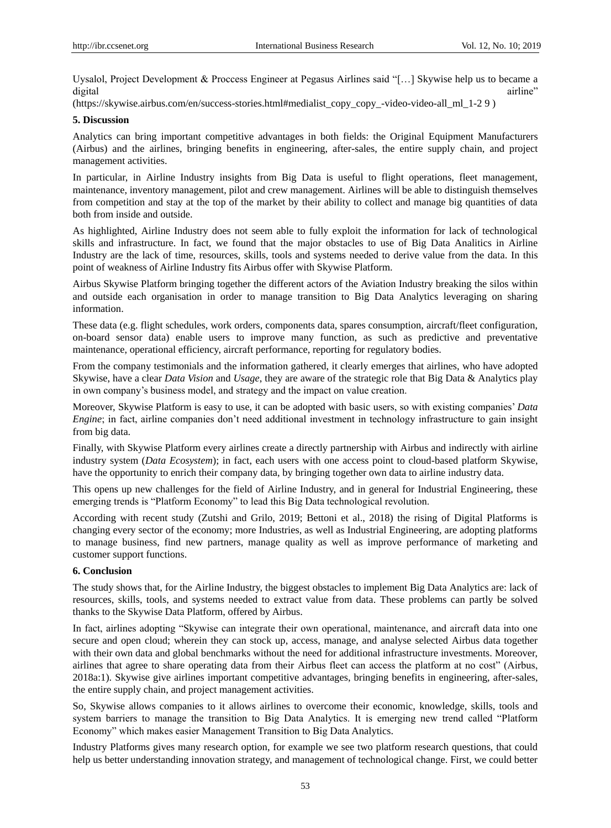Uysalol, Project Development & Proccess Engineer at Pegasus Airlines said "[…] Skywise help us to became a digital airline" airline airline anns an t-aisean airline anns an t-aisean airline airline airline airline air

[\(https://skywise.airbus.com/en/success-stories.html#medialist\\_copy\\_copy\\_-video-video-all\\_ml\\_1-2](https://skywise.airbus.com/en/success-stories.html#medialist_copy_copy_-video-video-all_ml_1-2) 9 )

#### **5. Discussion**

Analytics can bring important competitive advantages in both fields: the Original Equipment Manufacturers (Airbus) and the airlines, bringing benefits in engineering, after-sales, the entire supply chain, and project management activities.

In particular, in Airline Industry insights from Big Data is useful to flight operations, fleet management, maintenance, inventory management, pilot and crew management. Airlines will be able to distinguish themselves from competition and stay at the top of the market by their ability to collect and manage big quantities of data both from inside and outside.

As highlighted, Airline Industry does not seem able to fully exploit the information for lack of technological skills and infrastructure. In fact, we found that the major obstacles to use of Big Data Analitics in Airline Industry are the lack of time, resources, skills, tools and systems needed to derive value from the data. In this point of weakness of Airline Industry fits Airbus offer with Skywise Platform.

Airbus Skywise Platform bringing together the different actors of the Aviation Industry breaking the silos within and outside each organisation in order to manage transition to Big Data Analytics leveraging on sharing information.

These data (e.g. flight schedules, work orders, components data, spares consumption, aircraft/fleet configuration, on-board sensor data) enable users to improve many function, as such as predictive and preventative maintenance, operational efficiency, aircraft performance, reporting for regulatory bodies.

From the company testimonials and the information gathered, it clearly emerges that airlines, who have adopted Skywise, have a clear *Data Vision* and *Usage*, they are aware of the strategic role that Big Data & Analytics play in own company's business model, and strategy and the impact on value creation.

Moreover, Skywise Platform is easy to use, it can be adopted with basic users, so with existing companies' *Data Engine*; in fact, airline companies don't need additional investment in technology infrastructure to gain insight from big data.

Finally, with Skywise Platform every airlines create a directly partnership with Airbus and indirectly with airline industry system (*Data Ecosystem*); in fact, each users with one access point to cloud-based platform Skywise, have the opportunity to enrich their company data, by bringing together own data to airline industry data.

This opens up new challenges for the field of Airline Industry, and in general for Industrial Engineering, these emerging trends is "Platform Economy" to lead this Big Data technological revolution.

According with recent study (Zutshi and Grilo, 2019; Bettoni et al., 2018) the rising of Digital Platforms is changing every sector of the economy; more Industries, as well as Industrial Engineering, are adopting platforms to manage business, find new partners, manage quality as well as improve performance of marketing and customer support functions.

# **6. Conclusion**

The study shows that, for the Airline Industry, the biggest obstacles to implement Big Data Analytics are: lack of resources, skills, tools, and systems needed to extract value from data. These problems can partly be solved thanks to the Skywise Data Platform, offered by Airbus.

In fact, airlines adopting "Skywise can integrate their own operational, maintenance, and aircraft data into one secure and open cloud; wherein they can stock up, access, manage, and analyse selected Airbus data together with their own data and global benchmarks without the need for additional infrastructure investments. Moreover, airlines that agree to share operating data from their Airbus fleet can access the platform at no cost" (Airbus, 2018a:1). Skywise give airlines important competitive advantages, bringing benefits in engineering, after-sales, the entire supply chain, and project management activities.

So, Skywise allows companies to it allows airlines to overcome their economic, knowledge, skills, tools and system barriers to manage the transition to Big Data Analytics. It is emerging new trend called "Platform Economy" which makes easier Management Transition to Big Data Analytics.

Industry Platforms gives many research option, for example we see two platform research questions, that could help us better understanding innovation strategy, and management of technological change. First, we could better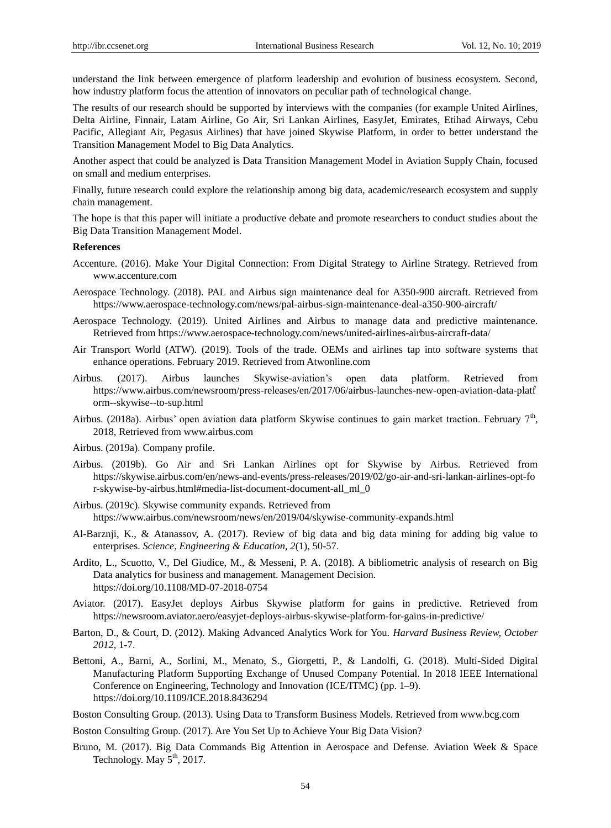understand the link between emergence of platform leadership and evolution of business ecosystem. Second, how industry platform focus the attention of innovators on peculiar path of technological change.

The results of our research should be supported by interviews with the companies (for example United Airlines, Delta Airline, Finnair, Latam Airline, Go Air, Sri Lankan Airlines, EasyJet, Emirates, Etihad Airways, Cebu Pacific, Allegiant Air, Pegasus Airlines) that have joined Skywise Platform, in order to better understand the Transition Management Model to Big Data Analytics.

Another aspect that could be analyzed is Data Transition Management Model in Aviation Supply Chain, focused on small and medium enterprises.

Finally, future research could explore the relationship among big data, academic/research ecosystem and supply chain management.

The hope is that this paper will initiate a productive debate and promote researchers to conduct studies about the Big Data Transition Management Model.

#### **References**

- Accenture. (2016). Make Your Digital Connection: From Digital Strategy to Airline Strategy. Retrieved from www.accenture.com
- Aerospace Technology. (2018). PAL and Airbus sign maintenance deal for A350-900 aircraft. Retrieved from <https://www.aerospace-technology.com/news/pal-airbus-sign-maintenance-deal-a350-900-aircraft/>
- Aerospace Technology. (2019). United Airlines and Airbus to manage data and predictive maintenance. Retrieved from<https://www.aerospace-technology.com/news/united-airlines-airbus-aircraft-data/>
- Air Transport World (ATW). (2019). Tools of the trade. OEMs and airlines tap into software systems that enhance operations. February 2019. Retrieved from Atwonline.com
- Airbus. (2017). Airbus launches Skywise-aviation's open data platform. Retrieved from [https://www.airbus.com/newsroom/press-releases/en/2017/06/airbus-launches-new-open-aviation-data-platf](https://www.airbus.com/newsroom/press-releases/en/2017/06/airbus-launches-new-open-aviation-data-platform--skywise--to-sup.html) [orm--skywise--to-sup.html](https://www.airbus.com/newsroom/press-releases/en/2017/06/airbus-launches-new-open-aviation-data-platform--skywise--to-sup.html)
- Airbus. (2018a). Airbus' open aviation data platform Skywise continues to gain market traction. February 7<sup>th</sup>, 2018, Retrieved from [www.airbus.com](http://www.airbus.com/)

Airbus. (2019a). Company profile.

- Airbus. (2019b). Go Air and Sri Lankan Airlines opt for Skywise by Airbus. Retrieved from [https://skywise.airbus.com/en/news-and-events/press-releases/2019/02/go-air-and-sri-lankan-airlines-opt-fo](https://skywise.airbus.com/en/news-and-events/press-releases/2019/02/go-air-and-sri-lankan-airlines-opt-for-skywise-by-airbus.html#media-list-document-document-all_ml_0) [r-skywise-by-airbus.html#media-list-document-document-all\\_ml\\_0](https://skywise.airbus.com/en/news-and-events/press-releases/2019/02/go-air-and-sri-lankan-airlines-opt-for-skywise-by-airbus.html#media-list-document-document-all_ml_0)
- Airbus. (2019c). Skywise community expands. Retrieved from <https://www.airbus.com/newsroom/news/en/2019/04/skywise-community-expands.html>
- Al-Barznji, K., & Atanassov, A. (2017). Review of big data and big data mining for adding big value to enterprises. *Science, Engineering & Education, 2*(1), 50-57.
- Ardito, L., Scuotto, V., Del Giudice, M., & Messeni, P. A. (2018). A bibliometric analysis of research on Big Data analytics for business and management. Management Decision. https://doi.org/10.1108/MD-07-2018-0754
- Aviator. (2017). EasyJet deploys Airbus Skywise platform for gains in predictive. Retrieved from <https://newsroom.aviator.aero/easyjet-deploys-airbus-skywise-platform-for-gains-in-predictive/>
- Barton, D., & Court, D. (2012). Making Advanced Analytics Work for You. *Harvard Business Review, October 2012,* 1-7.
- Bettoni, A., Barni, A., Sorlini, M., Menato, S., Giorgetti, P., & Landolfi, G. (2018). Multi-Sided Digital Manufacturing Platform Supporting Exchange of Unused Company Potential. In 2018 IEEE International Conference on Engineering, Technology and Innovation (ICE/ITMC) (pp. 1–9). <https://doi.org/10.1109/ICE.2018.8436294>
- Boston Consulting Group. (2013). Using Data to Transform Business Models. Retrieved from [www.bcg.com](http://www.bcg.com/)
- Boston Consulting Group. (2017). Are You Set Up to Achieve Your Big Data Vision?
- Bruno, M. (2017). Big Data Commands Big Attention in Aerospace and Defense. Aviation Week & Space Technology. May  $5<sup>th</sup>$ , 2017.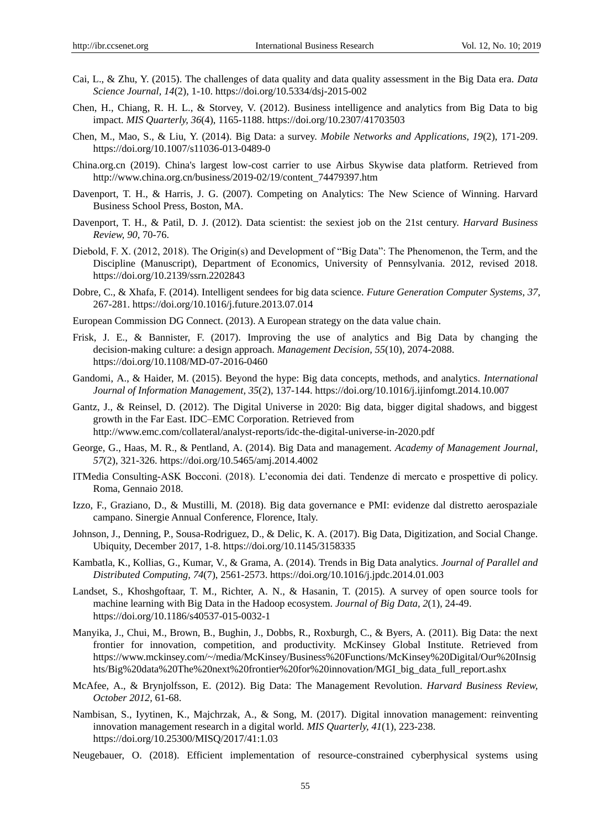- Cai, L., & Zhu, Y. (2015). The challenges of data quality and data quality assessment in the Big Data era. *Data Science Journal, 14*(2), 1-10. https://doi.org/10.5334/dsj-2015-002
- Chen, H., Chiang, R. H. L., & Storvey, V. (2012). Business intelligence and analytics from Big Data to big impact. *MIS Quarterly, 36*(4), 1165-1188. https://doi.org/10.2307/41703503
- Chen, M., Mao, S., & Liu, Y. (2014). Big Data: a survey. *Mobile Networks and Applications, 19*(2), 171-209. https://doi.org/10.1007/s11036-013-0489-0
- China.org.cn (2019). China's largest low-cost carrier to use Airbus Skywise data platform. Retrieved from [http://www.china.org.cn/business/2019-02/19/content\\_74479397.htm](http://www.china.org.cn/business/2019-02/19/content_74479397.htm)
- Davenport, T. H., & Harris, J. G. (2007). Competing on Analytics: The New Science of Winning. Harvard Business School Press, Boston, MA.
- Davenport, T. H., & Patil, D. J. (2012). Data scientist: the sexiest job on the 21st century. *Harvard Business Review, 90,* 70-76.
- Diebold, F. X. (2012, 2018). The Origin(s) and Development of "Big Data": The Phenomenon, the Term, and the Discipline (Manuscript), Department of Economics, University of Pennsylvania. 2012, revised 2018. https://doi.org/10.2139/ssrn.2202843
- Dobre, C., & Xhafa, F. (2014). Intelligent sendees for big data science. *Future Generation Computer Systems, 37,*  267-281. https://doi.org/10.1016/j.future.2013.07.014
- European Commission DG Connect. (2013). A European strategy on the data value chain.
- Frisk, J. E., & Bannister, F. (2017). Improving the use of analytics and Big Data by changing the decision-making culture: a design approach. *Management Decision, 55*(10), 2074-2088. https://doi.org/10.1108/MD-07-2016-0460
- Gandomi, A., & Haider, M. (2015). Beyond the hype: Big data concepts, methods, and analytics. *International Journal of Information Management, 35*(2), 137-144. https://doi.org/10.1016/j.ijinfomgt.2014.10.007
- Gantz, J., & Reinsel, D. (2012). The Digital Universe in 2020: Big data, bigger digital shadows, and biggest growth in the Far East. IDC–EMC Corporation. Retrieved from http://www.emc.com/collateral/analyst-reports/idc-the-digital-universe-in-2020.pdf
- George, G., Haas, M. R., & Pentland, A. (2014). Big Data and management. *Academy of Management Journal, 57*(2), 321-326. https://doi.org/10.5465/amj.2014.4002
- ITMedia Consulting-ASK Bocconi. (2018). L'economia dei dati. Tendenze di mercato e prospettive di policy. Roma, Gennaio 2018.
- Izzo, F., Graziano, D., & Mustilli, M. (2018). Big data governance e PMI: evidenze dal distretto aerospaziale campano. Sinergie Annual Conference, Florence, Italy.
- Johnson, J., Denning, P., Sousa-Rodriguez, D., & Delic, K. A. (2017). Big Data, Digitization, and Social Change. Ubiquity, December 2017, 1-8. https://doi.org/10.1145/3158335
- Kambatla, K., Kollias, G., Kumar, V., & Grama, A. (2014). Trends in Big Data analytics. *Journal of Parallel and Distributed Computing, 74*(7), 2561-2573. https://doi.org/10.1016/j.jpdc.2014.01.003
- Landset, S., Khoshgoftaar, T. M., Richter, A. N., & Hasanin, T. (2015). A survey of open source tools for machine learning with Big Data in the Hadoop ecosystem. *Journal of Big Data, 2*(1), 24-49. https://doi.org/10.1186/s40537-015-0032-1
- Manyika, J., Chui, M., Brown, B., Bughin, J., Dobbs, R., Roxburgh, C., & Byers, A. (2011). Big Data: the next frontier for innovation, competition, and productivity. McKinsey Global Institute. Retrieved from https://www.mckinsey.com/~/media/McKinsey/Business%20Functions/McKinsey%20Digital/Our%20Insig hts/Big%20data%20The%20next%20frontier%20for%20innovation/MGI\_big\_data\_full\_report.ashx
- McAfee, A., & Brynjolfsson, E. (2012). Big Data: The Management Revolution. *Harvard Business Review, October 2012,* 61-68.
- Nambisan, S., Iyytinen, K., Majchrzak, A., & Song, M. (2017). Digital innovation management: reinventing innovation management research in a digital world. *MIS Quarterly, 41*(1), 223-238. https://doi.org/10.25300/MISQ/2017/41:1.03
- Neugebauer, O. (2018). Efficient implementation of resource-constrained cyberphysical systems using